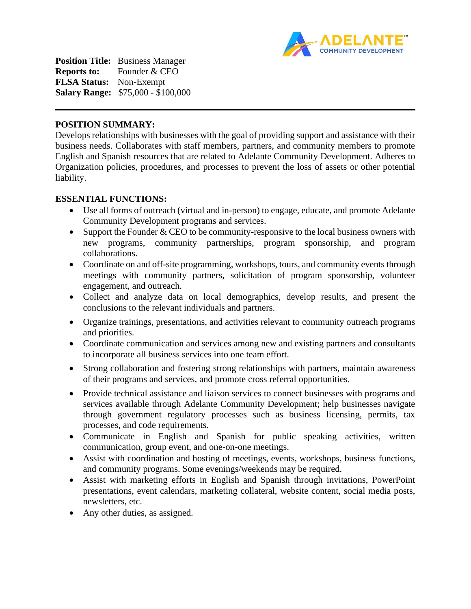

**Position Title:** Business Manager **Reports to:** Founder & CEO **FLSA Status:** Non-Exempt **Salary Range:** \$75,000 - \$100,000

#### **POSITION SUMMARY:**

Develops relationships with businesses with the goal of providing support and assistance with their business needs. Collaborates with staff members, partners, and community members to promote English and Spanish resources that are related to Adelante Community Development. Adheres to Organization policies, procedures, and processes to prevent the loss of assets or other potential liability.

#### **ESSENTIAL FUNCTIONS:**

- Use all forms of outreach (virtual and in-person) to engage, educate, and promote Adelante Community Development programs and services.
- Support the Founder  $&$  CEO to be community-responsive to the local business owners with new programs, community partnerships, program sponsorship, and program collaborations.
- Coordinate on and off-site programming, workshops, tours, and community events through meetings with community partners, solicitation of program sponsorship, volunteer engagement, and outreach.
- Collect and analyze data on local demographics, develop results, and present the conclusions to the relevant individuals and partners.
- Organize trainings, presentations, and activities relevant to community outreach programs and priorities.
- Coordinate communication and services among new and existing partners and consultants to incorporate all business services into one team effort.
- Strong collaboration and fostering strong relationships with partners, maintain awareness of their programs and services, and promote cross referral opportunities.
- Provide technical assistance and liaison services to connect businesses with programs and services available through Adelante Community Development; help businesses navigate through government regulatory processes such as business licensing, permits, tax processes, and code requirements.
- Communicate in English and Spanish for public speaking activities, written communication, group event, and one-on-one meetings.
- Assist with coordination and hosting of meetings, events, workshops, business functions, and community programs. Some evenings/weekends may be required.
- Assist with marketing efforts in English and Spanish through invitations, PowerPoint presentations, event calendars, marketing collateral, website content, social media posts, newsletters, etc.
- Any other duties, as assigned.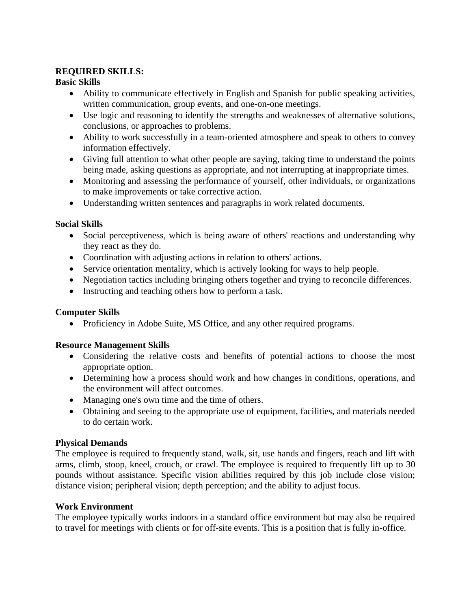## **REQUIRED SKILLS:**

# **Basic Skills**

- Ability to communicate effectively in English and Spanish for public speaking activities, written communication, group events, and one-on-one meetings.
- Use logic and reasoning to identify the strengths and weaknesses of alternative solutions, conclusions, or approaches to problems.
- Ability to work successfully in a team-oriented atmosphere and speak to others to convey information effectively.
- Giving full attention to what other people are saying, taking time to understand the points being made, asking questions as appropriate, and not interrupting at inappropriate times.
- Monitoring and assessing the performance of yourself, other individuals, or organizations to make improvements or take corrective action.
- Understanding written sentences and paragraphs in work related documents.

# **Social Skills**

- Social perceptiveness, which is being aware of others' reactions and understanding why they react as they do.
- Coordination with adjusting actions in relation to others' actions.
- Service orientation mentality, which is actively looking for ways to help people.
- Negotiation tactics including bringing others together and trying to reconcile differences.
- Instructing and teaching others how to perform a task.

### **Computer Skills**

• Proficiency in Adobe Suite, MS Office, and any other required programs.

### **Resource Management Skills**

- Considering the relative costs and benefits of potential actions to choose the most appropriate option.
- Determining how a process should work and how changes in conditions, operations, and the environment will affect outcomes.
- Managing one's own time and the time of others.
- Obtaining and seeing to the appropriate use of equipment, facilities, and materials needed to do certain work.

### **Physical Demands**

The employee is required to frequently stand, walk, sit, use hands and fingers, reach and lift with arms, climb, stoop, kneel, crouch, or crawl. The employee is required to frequently lift up to 30 pounds without assistance. Specific vision abilities required by this job include close vision; distance vision; peripheral vision; depth perception; and the ability to adjust focus.

### **Work Environment**

The employee typically works indoors in a standard office environment but may also be required to travel for meetings with clients or for off-site events. This is a position that is fully in-office.